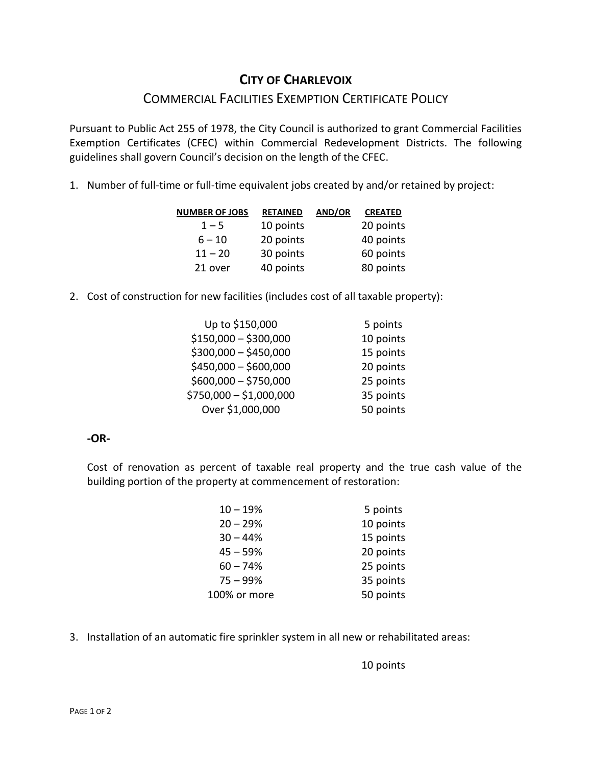# **CITY OF CHARLEVOIX**

## COMMERCIAL FACILITIES EXEMPTION CERTIFICATE POLICY

Pursuant to Public Act 255 of 1978, the City Council is authorized to grant Commercial Facilities Exemption Certificates (CFEC) within Commercial Redevelopment Districts. The following guidelines shall govern Council's decision on the length of the CFEC.

1. Number of full-time or full-time equivalent jobs created by and/or retained by project:

| <b>NUMBER OF JOBS</b> | <b>RETAINED</b> | <b>AND/OR</b> | <b>CREATED</b> |
|-----------------------|-----------------|---------------|----------------|
| $1 - 5$               | 10 points       |               | 20 points      |
| $6 - 10$              | 20 points       |               | 40 points      |
| $11 - 20$             | 30 points       |               | 60 points      |
| 21 over               | 40 points       |               | 80 points      |

2. Cost of construction for new facilities (includes cost of all taxable property):

| Up to \$150,000         | 5 points  |
|-------------------------|-----------|
| $$150,000 - $300,000$   | 10 points |
| $$300,000 - $450,000$   | 15 points |
| $$450,000 - $600,000$   | 20 points |
| $$600,000 - $750,000$   | 25 points |
| \$750,000 - \$1,000,000 | 35 points |
| Over \$1,000,000        | 50 points |
|                         |           |

### **-OR-**

Cost of renovation as percent of taxable real property and the true cash value of the building portion of the property at commencement of restoration:

| $10 - 19%$   | 5 points  |
|--------------|-----------|
| $20 - 29%$   | 10 points |
| $30 - 44%$   | 15 points |
| $45 - 59%$   | 20 points |
| $60 - 74%$   | 25 points |
| $75 - 99%$   | 35 points |
| 100% or more | 50 points |

3. Installation of an automatic fire sprinkler system in all new or rehabilitated areas:

10 points